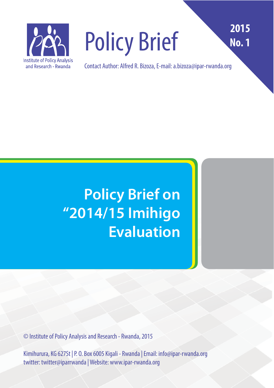

# Policy Brief

**2015 No. 1**

Contact Author: Alfred R. Bizoza, E-mail: a.bizoza@ipar-rwanda.org

**Policy Brief on "2014/15 Imihigo Evaluation**

© Institute of Policy Analysis and Research - Rwanda, 2015

Kimihurura, KG 627St | P. O. Box 6005 Kigali - Rwanda | Email: info@ipar-rwanda.org twitter: twitter@iparrwanda | Website: www.ipar-rwanda.org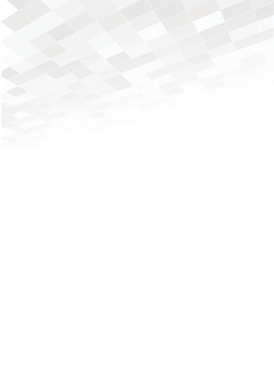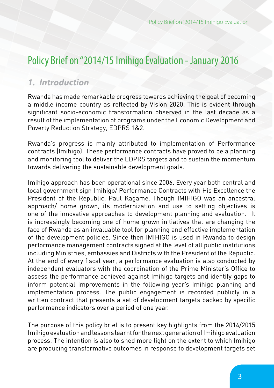# Policy Brief on "2014/15 Imihigo Evaluation - January 2016

## *1. Introduction*

Rwanda has made remarkable progress towards achieving the goal of becoming a middle income country as reflected by Vision 2020. This is evident through significant socio-economic transformation observed in the last decade as a result of the implementation of programs under the Economic Development and Poverty Reduction Strategy, EDPRS 1&2.

Rwanda's progress is mainly attributed to implementation of Performance contracts (Imihigo). These performance contracts have proved to be a planning and monitoring tool to deliver the EDPRS targets and to sustain the momentum towards delivering the sustainable development goals.

Imihigo approach has been operational since 2006. Every year both central and local government sign Imihigo/ Performance Contracts with His Excellence the President of the Republic, Paul Kagame. Though IMIHIGO was an ancestral approach/ home grown, its modernization and use to setting objectives is one of the innovative approaches to development planning and evaluation. It is increasingly becoming one of home grown initiatives that are changing the face of Rwanda as an invaluable tool for planning and effective implementation of the development policies. Since then IMIHIGO is used in Rwanda to design performance management contracts signed at the level of all public institutions including Ministries, embassies and Districts with the President of the Republic. At the end of every fiscal year, a performance evaluation is also conducted by independent evaluators with the coordination of the Prime Minister's Office to assess the performance achieved against Imihigo targets and identify gaps to inform potential improvements in the following year's Imihigo planning and implementation process. The public engagement is recorded publicly in a written contract that presents a set of development targets backed by specific performance indicators over a period of one year.

The purpose of this policy brief is to present key highlights from the 2014/2015 Imihigo evaluation and lessons learnt for the next generation of Imihigo evaluation process. The intention is also to shed more light on the extent to which Imihigo are producing transformative outcomes in response to development targets set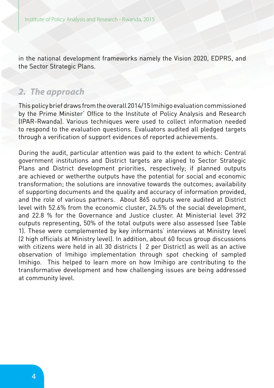in the national development frameworks namely the Vision 2020, EDPRS, and the Sector Strategic Plans.

#### *2. The approach*

This policy brief draws from the overall 2014/15 Imihigo evaluation commissioned by the Prime Minister' Office to the Institute of Policy Analysis and Research (IPAR-Rwanda). Various techniques were used to collect information needed to respond to the evaluation questions. Evaluators audited all pledged targets through a verification of support evidences of reported achievements.

During the audit, particular attention was paid to the extent to which: Central government institutions and District targets are aligned to Sector Strategic Plans and District development priorities, respectively; if planned outputs are achieved or wetherthe outputs have the potential for social and economic transformation; the solutions are innovative towards the outcomes; availability of supporting documents and the quality and accuracy of information provided, and the role of various partners. About 865 outputs were audited at District level with 52.6% from the economic cluster, 24.5% of the social development, and 22.8 % for the Governance and Justice cluster. At Ministerial level 392 outputs representing, 50% of the total outputs were also assessed (see Table 1). These were complemented by key informants' interviews at Ministry level (2 high officials at Ministry level). In addition, about 60 focus group discussions with citizens were held in all 30 districts ( 2 per District) as well as an active observation of Imihigo implementation through spot checking of sampled Imihigo. This helped to learn more on how Imihigo are contributing to the transformative development and how challenging issues are being addressed at community level.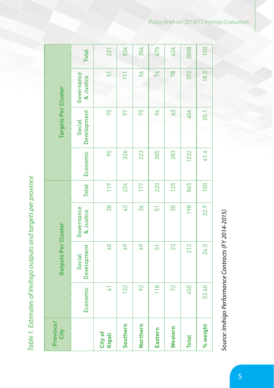Table 1. Estimates of Imihigo outputs and targets per province *Table 1. Estimates of Imihigo outputs and targets per province*

| Province<br>City  |                 | <b>Outputs Per Cluster</b>   |                         |       |          | <b>Targets Per Cluster</b>   |                         |              |
|-------------------|-----------------|------------------------------|-------------------------|-------|----------|------------------------------|-------------------------|--------------|
|                   | Economic        | Development<br><b>Social</b> | Governance<br>& Justice | Total | Economic | Development<br><b>Social</b> | Governance<br>& Justice | <b>Total</b> |
| City of<br>Kigali | $\overline{41}$ | 40                           | 8                       | 119   | 95       | 75                           | 51                      | 221          |
| Southern          | 132             | 49                           | 43                      | 224   | 326      | 76                           | 111                     | 534          |
| Northern          | 92              | 49                           | 36                      | 177   | 223      | 75                           | 56                      | 354          |
| Eastern           | $\frac{8}{10}$  | 51                           | 51                      | 220   | 305      | 94                           | 76                      | 475          |
| Western           | 72              | 23                           | 80                      | 125   | 283      | 63                           | 78                      | 424          |
| <b>Total</b>      | 455             | 212                          | 198                     | 865   | 1232     | 404                          | 372                     | 2008         |
| % weight          | 52.60           | 24.5                         | 22.9                    | 100   | 61.4     | 20.1                         | 18.5                    | 100          |

Source: Imihigo Performance Contracts (FY 2014-2015) *Source: Imihigo Performance Contracts (FY 2014-2015)*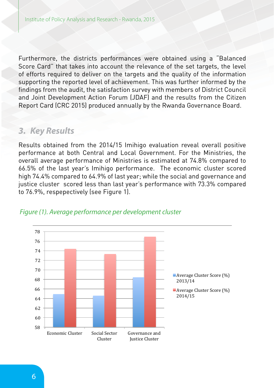Furthermore, the districts performances were obtained using a "Balanced Score Card" that takes into account the relevance of the set targets, the level of efforts required to deliver on the targets and the quality of the information supporting the reported level of achievement. This was further informed by the findings from the audit, the satisfaction survey with members of District Council and Joint Development Action Forum (JDAF) and the results from the Citizen Report Card (CRC 2015) produced annually by the Rwanda Governance Board.

#### *3. Key Results*

Results obtained from the 2014/15 Imihigo evaluation reveal overall positive performance at both Central and Local Government. For the Ministries, the overall average performance of Ministries is estimated at 74.8% compared to 66.5% of the last year's Imihigo performance. The economic cluster scored high 74.4% compared to 64.9% of last year; while the social and governance and justice cluster scored less than last year's performance with 73.3% compared to 76.9%, respepectively (see Figure 1).



#### *Figure (1). Average performance per development cluster*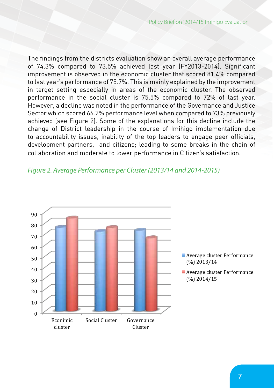The findings from the districts evaluation show an overall average performance of 74.3% compared to 73.5% achieved last year (FY2013-2014). Significant improvement is observed in the economic cluster that scored 81.4% compared to last year's performance of 75.7%. This is mainly explained by the improvement in target setting especially in areas of the economic cluster. The observed performance in the social cluster is 75.5% compared to 72% of last year. However, a decline was noted in the performance of the Governance and Justice Sector which scored 66.2% performance level when compared to 73% previously achieved (see Figure 2). Some of the explanations for this decline include the change of District leadership in the course of Imihigo implementation due to accountability issues, inability of the top leaders to engage peer officials, development partners, and citizens; leading to some breaks in the chain of collaboration and moderate to lower performance in Citizen's satisfaction.

#### *Figure 2. Average Performance per Cluster (2013/14 and 2014-2015)*

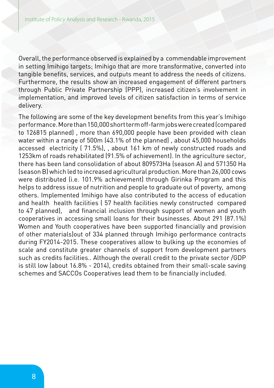Overall, the performance observed is explained by a commendable improvement in setting Imihigo targets; Imihigo that are more transformative, converted into tangible benefits, services, and outputs meant to address the needs of citizens. Furthermore, the results show an increased engagement of different partners through Public Private Partnership (PPP), increased citizen's involvement in implementation, and improved levels of citizen satisfaction in terms of service delivery.

The following are some of the key development benefits from this year's Imihigo performance. More than 150,000 short term off-farm jobs were created (compared to 126815 planned) , more than 690,000 people have been provided with clean water within a range of 500m (43.1% of the planned) , about 45,000 households accessed electricity ( 71.5%), , about 161 km of newly constructed roads and 1253km of roads rehabilitated (91.5% of achievement). In the agriculture sector, there has been land consolidation of about 809573Ha (season A) and 571350 Ha (season B) which led to increased agricultural production. More than 26,000 cows were distributed (i.e. 101.9% achievement) through Girinka Program and this helps to address issue of nutrition and people to graduate out of poverty, among others. Implemented Imihigo have also contributed to the access of education and health health facilities ( 57 health facilities newly constructed compared to 47 planned), and financial inclusion through support of women and youth cooperatives in accessing small loans for their businesses. About 291 (87.1%) Women and Youth cooperatives have been supported financially and provision of other materials)out of 334 planned through Imihigo performance contracts during FY2014-2015. These cooperatives allow to bulking up the economies of scale and constitute greater channels of support from development partners such as credits facilities.. Although the overall credit to the private sector /GDP is still low (about 16.8% - 2014), credits obtained from their small-scale saving schemes and SACCOs Cooperatives lead them to be financially included.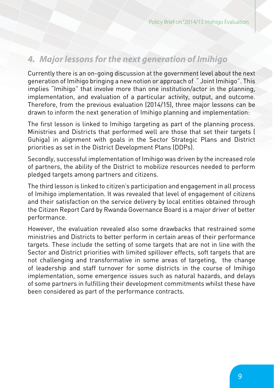#### *4. Major lessons for the next generation of Imihigo*

Currently there is an on-going discussion at the government level about the next generation of Imihigo bringing a new notion or approach of " Joint Imihigo". This implies "Imihigo" that involve more than one institution/actor in the planning, implementation, and evaluation of a particular activity, output, and outcome. Therefore, from the previous evaluation (2014/15), three major lessons can be drawn to inform the next generation of Imihigo planning and implementation:

The first lesson is linked to Imihigo targeting as part of the planning process. Ministries and Districts that performed well are those that set their targets ( Guhiga) in alignment with goals in the Sector Strategic Plans and District priorities as set in the District Development Plans (DDPs).

Secondly, successful implementation of Imihigo was driven by the increased role of partners, the ability of the District to mobilize resources needed to perform pledged targets among partners and citizens.

The third lesson is linked to citizen's participation and engagement in all process of Imihigo implementation. It was revealed that level of engagement of citizens and their satisfaction on the service delivery by local entities obtained through the Citizen Report Card by Rwanda Governance Board is a major driver of better performance.

However, the evaluation revealed also some drawbacks that restrained some ministries and Districts to better perform in certain areas of their performance targets. These include the setting of some targets that are not in line with the Sector and District priorities with limited spillover effects, soft targets that are not challenging and transformative in some areas of targeting, the change of leadership and staff turnover for some districts in the course of Imihigo implementation, some emergence issues such as natural hazards, and delays of some partners in fulfilling their development commitments whilst these have been considered as part of the performance contracts.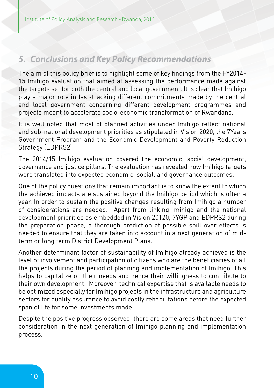## *5. Conclusions and Key Policy Recommendations*

The aim of this policy brief is to highlight some of key findings from the FY2014- 15 Imihigo evaluation that aimed at assessing the performance made against the targets set for both the central and local government. It is clear that Imihigo play a major role in fast-tracking different commitments made by the central and local government concerning different development programmes and projects meant to accelerate socio-economic transformation of Rwandans.

It is well noted that most of planned activities under Imihigo reflect national and sub-national development priorities as stipulated in Vision 2020, the 7Years Government Program and the Economic Development and Poverty Reduction Strategy (EDPRS2).

The 2014/15 Imihigo evaluation covered the economic, social development, governance and justice pillars. The evaluation has revealed how Imihigo targets were translated into expected economic, social, and governance outcomes.

One of the policy questions that remain important is to know the extent to which the achieved impacts are sustained beyond the Imihigo period which is often a year. In order to sustain the positive changes resulting from Imihigo a number of considerations are needed. Apart from linking Imihigo and the national development priorities as embedded in Vision 20120, 7YGP and EDPRS2 during the preparation phase, a thorough prediction of possible spill over effects is needed to ensure that they are taken into account in a next generation of midterm or long term District Development Plans.

Another determinant factor of sustainability of Imihigo already achieved is the level of involvement and participation of citizens who are the beneficiaries of all the projects during the period of planning and implementation of Imihigo. This helps to capitalize on their needs and hence their willingness to contribute to their own development. Moreover, technical expertise that is available needs to be optimized especially for Imihigo projects in the infrastructure and agriculture sectors for quality assurance to avoid costly rehabilitations before the expected span of life for some investments made.

Despite the positive progress observed, there are some areas that need further consideration in the next generation of Imihigo planning and implementation process.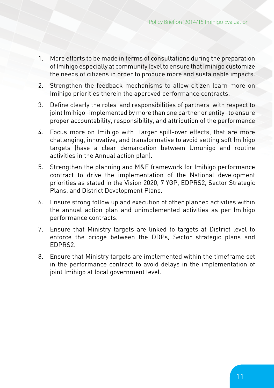- 1. More efforts to be made in terms of consultations during the preparation of Imihigo especially at community level to ensure that Imihigo customize the needs of citizens in order to produce more and sustainable impacts.
- 2. Strengthen the feedback mechanisms to allow citizen learn more on Imihigo priorities therein the approved performance contracts.
- 3. Define clearly the roles and responsibilities of partners with respect to joint Imihigo -implemented by more than one partner or entity- to ensure proper accountability, responsibility, and attribution of the performance
- 4. Focus more on Imihigo with larger spill-over effects, that are more challenging, innovative, and transformative to avoid setting soft Imihigo targets (have a clear demarcation between Umuhigo and routine activities in the Annual action plan).
- 5. Strengthen the planning and M&E framework for Imihigo performance contract to drive the implementation of the National development priorities as stated in the Vision 2020, 7 YGP, EDPRS2, Sector Strategic Plans, and District Development Plans.
- 6. Ensure strong follow up and execution of other planned activities within the annual action plan and unimplemented activities as per Imihigo performance contracts.
- 7. Ensure that Ministry targets are linked to targets at District level to enforce the bridge between the DDPs, Sector strategic plans and EDPRS2.
- 8. Ensure that Ministry targets are implemented within the timeframe set in the performance contract to avoid delays in the implementation of joint Imihigo at local government level.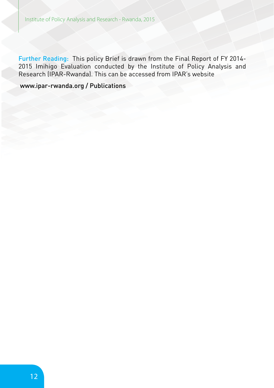Further Reading: This policy Brief is drawn from the Final Report of FY 2014- 2015 Imihigo Evaluation conducted by the Institute of Policy Analysis and Research (IPAR-Rwanda). This can be accessed from IPAR's website

www.ipar-rwanda.org / Publications